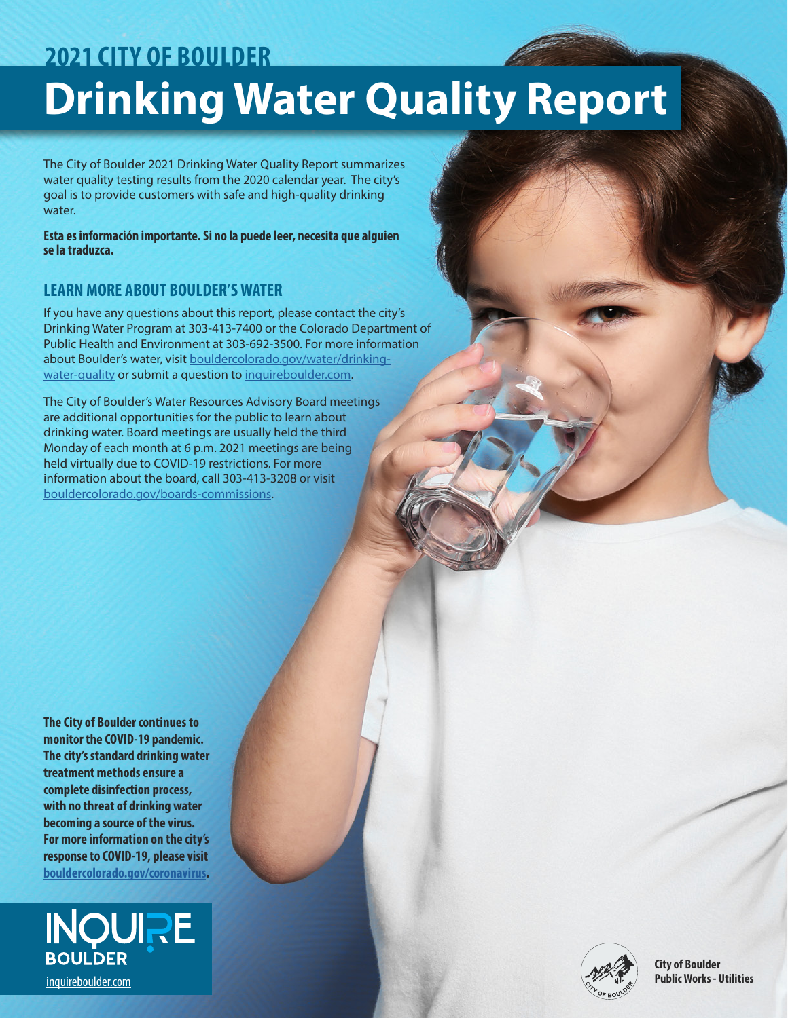# **Drinking Water Quality Report 2021 CITY OF BOULDER**

The City of Boulder 2021 Drinking Water Quality Report summarizes water quality testing results from the 2020 calendar year. The city's goal is to provide customers with safe and high-quality drinking water.

**Esta es información importante. Si no la puede leer, necesita que alguien se la traduzca.**

### **LEARN MORE ABOUT BOULDER'S WATER**

If you have any questions about this report, please contact the city's Drinking Water Program at 303-413-7400 or the Colorado Department of Public Health and Environment at 303-692-3500. For more information about Boulder's water, visit [bouldercolorado.gov/water/drinking](http://bouldercolorado.gov/water/drinking-water-quality)[water-quality](http://bouldercolorado.gov/water/drinking-water-quality) or submit a question to [inquireboulder.com.](http://inquireboulder.com)

The City of Boulder's Water Resources Advisory Board meetings are additional opportunities for the public to learn about drinking water. Board meetings are usually held the third Monday of each month at 6 p.m. 2021 meetings are being held virtually due to COVID-19 restrictions. For more information about the board, call 303-413-3208 or visit [bouldercolorado.gov/boards-commissions.](http://bouldercolorado.gov/boards-commissions)

**The City of Boulder continues to monitor the COVID-19 pandemic. The city's standard drinking water treatment methods ensure a complete disinfection process, with no threat of drinking water becoming a source of the virus. For more information on the city's response to COVID-19, please visit [bouldercolorado.gov/coronavirus](http://bouldercolorado.gov/coronavirus).**



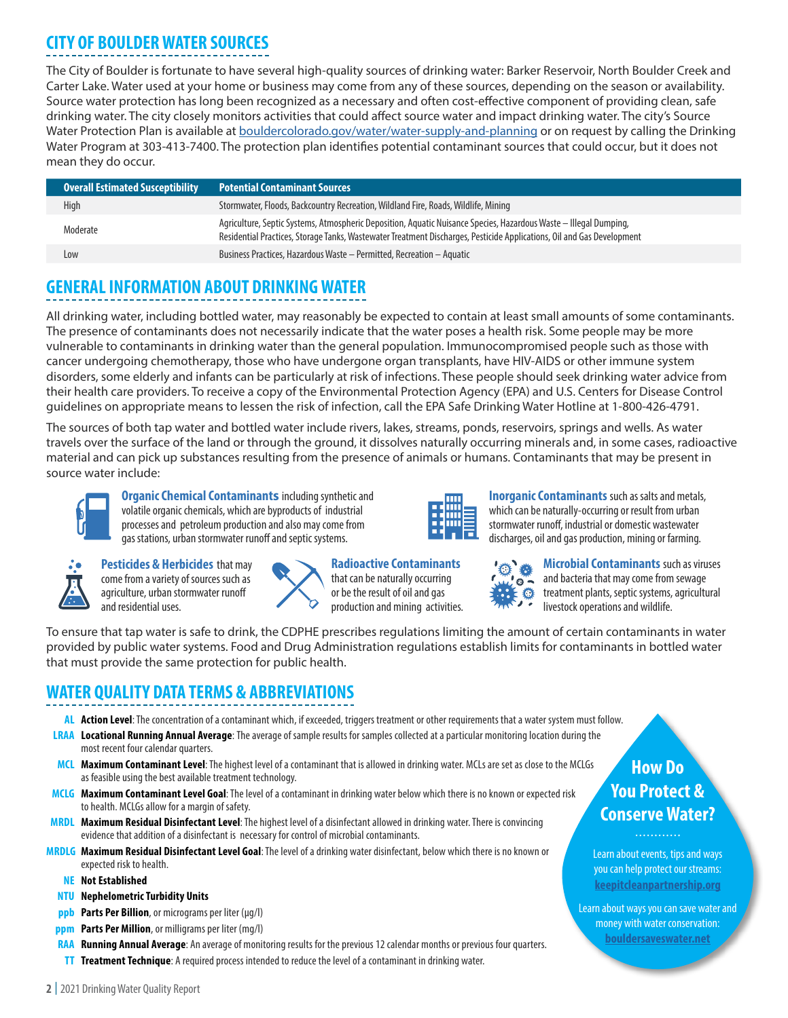# **CITY OF BOULDER WATER SOURCES**

The City of Boulder is fortunate to have several high-quality sources of drinking water: Barker Reservoir, North Boulder Creek and Carter Lake. Water used at your home or business may come from any of these sources, depending on the season or availability. Source water protection has long been recognized as a necessary and often cost-effective component of providing clean, safe drinking water. The city closely monitors activities that could affect source water and impact drinking water. The city's Source Water Protection Plan is available at **bouldercolorado.gov/water/water-supply-and-planning** or on request by calling the Drinking Water Program at 303-413-7400. The protection plan identifies potential contaminant sources that could occur, but it does not mean they do occur.

| <b>Overall Estimated Susceptibility</b> | <b>Potential Contaminant Sources</b>                                                                                                                                                                                                        |
|-----------------------------------------|---------------------------------------------------------------------------------------------------------------------------------------------------------------------------------------------------------------------------------------------|
| High                                    | Stormwater, Floods, Backcountry Recreation, Wildland Fire, Roads, Wildlife, Mining                                                                                                                                                          |
| Moderate                                | Agriculture, Septic Systems, Atmospheric Deposition, Aguatic Nuisance Species, Hazardous Waste – Illegal Dumping,<br>Residential Practices, Storage Tanks, Wastewater Treatment Discharges, Pesticide Applications, Oil and Gas Development |
| Low                                     | Business Practices, Hazardous Waste - Permitted, Recreation - Aquatic                                                                                                                                                                       |

### **GENERAL INFORMATION ABOUT DRINKING WATER**

All drinking water, including bottled water, may reasonably be expected to contain at least small amounts of some contaminants. The presence of contaminants does not necessarily indicate that the water poses a health risk. Some people may be more vulnerable to contaminants in drinking water than the general population. Immunocompromised people such as those with cancer undergoing chemotherapy, those who have undergone organ transplants, have HIV-AIDS or other immune system disorders, some elderly and infants can be particularly at risk of infections. These people should seek drinking water advice from their health care providers. To receive a copy of the Environmental Protection Agency (EPA) and U.S. Centers for Disease Control guidelines on appropriate means to lessen the risk of infection, call the EPA Safe Drinking Water Hotline at 1-800-426-4791.

The sources of both tap water and bottled water include rivers, lakes, streams, ponds, reservoirs, springs and wells. As water travels over the surface of the land or through the ground, it dissolves naturally occurring minerals and, in some cases, radioactive material and can pick up substances resulting from the presence of animals or humans. Contaminants that may be present in source water include:



**Organic Chemical Contaminants** including synthetic and volatile organic chemicals, which are byproducts of industrial processes and petroleum production and also may come from gas stations, urban stormwater runoff and septic systems.



**Pesticides & Herbicides** that may come from a variety of sources such as agriculture, urban stormwater runoff and residential uses.

**Radioactive Contaminants** that can be naturally occurring or be the result of oil and gas production and mining activities.



which can be naturally-occurring or result from urban stormwater runoff, industrial or domestic wastewater discharges, oil and gas production, mining or farming.

**Inorganic Contaminants** such as salts and metals,



**Microbial Contaminants** such as viruses and bacteria that may come from sewage treatment plants, septic systems, agricultural livestock operations and wildlife.

To ensure that tap water is safe to drink, the CDPHE prescribes regulations limiting the amount of certain contaminants in water provided by public water systems. Food and Drug Administration regulations establish limits for contaminants in bottled water that must provide the same protection for public health.

### **WATER QUALITY DATA TERMS & ABBREVIATIONS**

- **AL Action Level**:The concentration of a contaminant which, if exceeded, triggers treatment or other requirements that a water system must follow.
- **LRAA Locational Running Annual Average**: The average of sample results for samples collected at a particular monitoring location during the most recent four calendar quarters.
- **MCL Maximum Contaminant Level**: The highest level of a contaminant that is allowed in drinking water. MCLs are set as close to the MCLGs as feasible using the best available treatment technology.
- **MCLG Maximum Contaminant Level Goal**: The level of a contaminant in drinking water below which there is no known or expected risk to health. MCLGs allow for a margin of safety.
- **MRDL Maximum Residual Disinfectant Level**: The highest level of a disinfectant allowed in drinking water. There is convincing evidence that addition of a disinfectant is necessary for control of microbial contaminants.
- **MRDLG Maximum Residual Disinfectant Level Goal**: The level of a drinking water disinfectant, below which there is no known or expected risk to health.
	- **NE Not Established**
	- **NTU Nephelometric Turbidity Units**
	- **ppb Parts Per Billion**, or micrograms per liter (µg/l)
- **ppm Parts Per Million**, or milligrams per liter (mg/l)
- **RAA Running Annual Average**: An average of monitoring results for the previous 12 calendar months or previous four quarters.
- **TT Treatment Technique**: A required process intended to reduce the level of a contaminant in drinking water.

## **How Do You Protect & Conserve Water?**

#### . . . . . . . . . . . .

Learn about events, tips and ways you can help protect our streams: **[keepitcleanpartnership.org](http://www.KeepItCleanPartnership.org)**

Learn about ways you can save water and money with water conservation: **[bouldersaveswater.net](http://www.bouldersaveswater.net)**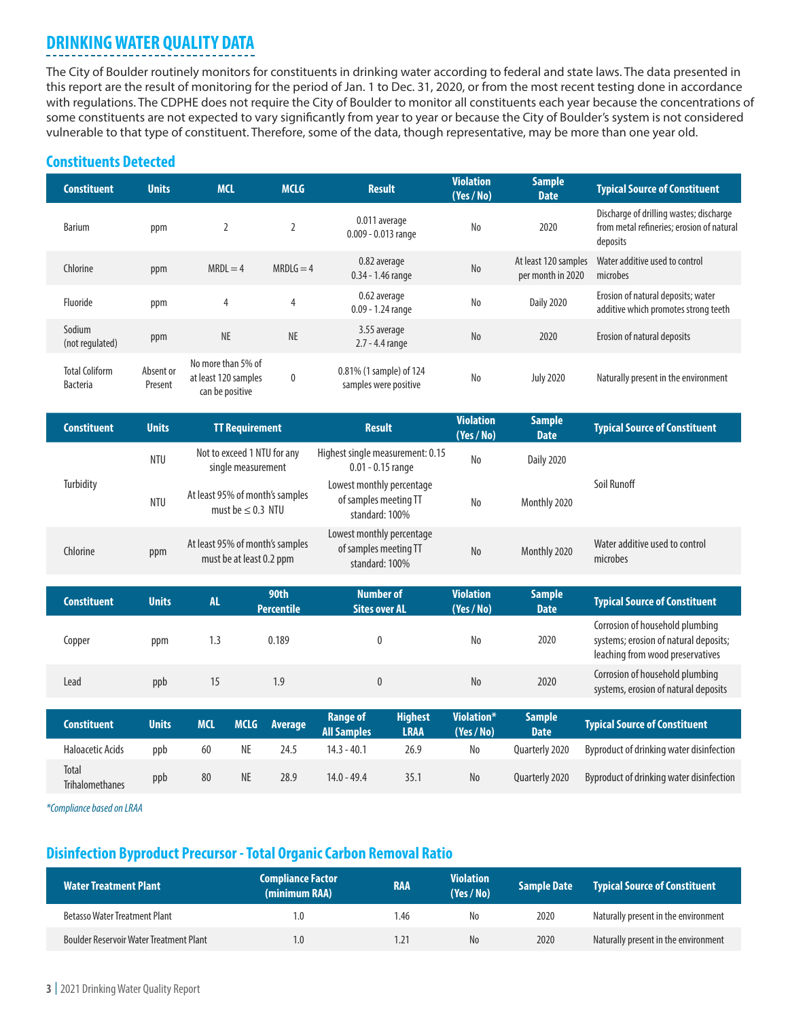# **DRINKING WATER QUALITY DATA**

The City of Boulder routinely monitors for constituents in drinking water according to federal and state laws. The data presented in this report are the result of monitoring for the period of Jan. 1 to Dec. 31, 2020, or from the most recent testing done in accordance with regulations. The CDPHE does not require the City of Boulder to monitor all constituents each year because the concentrations of some constituents are not expected to vary significantly from year to year or because the City of Boulder's system is not considered vulnerable to that type of constituent. Therefore, some of the data, though representative, may be more than one year old.

### **Constituents Detected**

| <b>Constituent</b>                       | <b>Units</b>         | <b>MCL</b>                                                    | <b>MCLG</b> | <b>Result</b>                                    | <b>Violation</b><br>(Yes / No) | <b>Sample</b><br><b>Date</b>              | <b>Typical Source of Constituent</b>                                                             |
|------------------------------------------|----------------------|---------------------------------------------------------------|-------------|--------------------------------------------------|--------------------------------|-------------------------------------------|--------------------------------------------------------------------------------------------------|
| <b>Barium</b>                            | ppm                  | $\overline{2}$                                                | 2           | 0.011 average<br>$0.009 - 0.013$ range           | No                             | 2020                                      | Discharge of drilling wastes; discharge<br>from metal refineries; erosion of natural<br>deposits |
| Chlorine                                 | ppm                  | $MRDL = 4$                                                    | $MRDLG = 4$ | 0.82 average<br>$0.34 - 1.46$ range              | N <sub>o</sub>                 | At least 120 samples<br>per month in 2020 | Water additive used to control<br>microbes                                                       |
| Fluoride                                 | ppm                  | $\overline{4}$                                                | 4           | 0.62 average<br>$0.09 - 1.24$ range              | No                             | <b>Daily 2020</b>                         | Erosion of natural deposits; water<br>additive which promotes strong teeth                       |
| Sodium<br>(not regulated)                | ppm                  | <b>NE</b>                                                     | <b>NE</b>   | 3.55 average<br>$2.7 - 4.4$ range                | N <sub>o</sub>                 | 2020                                      | Erosion of natural deposits                                                                      |
| <b>Total Coliform</b><br><b>Bacteria</b> | Absent or<br>Present | No more than 5% of<br>at least 120 samples<br>can be positive | 0           | 0.81% (1 sample) of 124<br>samples were positive | No                             | <b>July 2020</b>                          | Naturally present in the environment                                                             |

| <b>Constituent</b> | <b>Units</b> | <b>TT Requirement</b>                                       | <b>Result</b>                                                        | <b>Violation</b><br>(Yes/No) | <b>Sample</b><br>Date | <b>Typical Source of Constituent</b>       |
|--------------------|--------------|-------------------------------------------------------------|----------------------------------------------------------------------|------------------------------|-----------------------|--------------------------------------------|
|                    | <b>NTU</b>   | Not to exceed 1 NTU for any<br>single measurement           | Highest single measurement: 0.15<br>$0.01 - 0.15$ range              | N <sub>o</sub>               | Daily 2020            |                                            |
| Turbidity          | <b>NTU</b>   | At least 95% of month's samples<br>must be $\leq$ 0.3 NTU   | Lowest monthly percentage<br>of samples meeting TT<br>standard: 100% | <b>No</b>                    | Monthly 2020          | Soil Runoff                                |
| Chlorine           | ppm          | At least 95% of month's samples<br>must be at least 0.2 ppm | Lowest monthly percentage<br>of samples meeting TT<br>standard: 100% | N <sub>o</sub>               | Monthly 2020          | Water additive used to control<br>microbes |

| <b>Constituent</b> | <b>Units</b> | <b>AL</b>  | 90th<br><b>Percentile</b> | <b>Number of</b><br><b>Sites over AL</b>                               | <b>Violation</b><br>(Yes/No) | <b>Sample</b><br><b>Date</b> | <b>Typical Source of Constituent</b>                                                                         |
|--------------------|--------------|------------|---------------------------|------------------------------------------------------------------------|------------------------------|------------------------------|--------------------------------------------------------------------------------------------------------------|
| Copper             | ppm          | 1.3        | 0.189                     | 0                                                                      | No                           | 2020                         | Corrosion of household plumbing<br>systems; erosion of natural deposits;<br>leaching from wood preservatives |
| Lead               | ppb          | 15         | 1.9                       |                                                                        | N <sub>0</sub>               | 2020                         | Corrosion of household plumbing<br>systems, erosion of natural deposits                                      |
| <b>Constituent</b> | <b>Units</b> | <b>MCL</b> | <b>MCLG</b><br>Average    | <b>Highest</b><br><b>Range of</b><br><b>All Samples</b><br><b>LRAA</b> | Violation*<br>(Yes/No)       | <b>Sample</b><br><b>Date</b> | <b>Typical Source of Constituent</b>                                                                         |

| .                               | .   |    |    |      | <b>All Samples</b> | LRAA | (Yes / No) | <b>Date</b>    | -----------------------------            |
|---------------------------------|-----|----|----|------|--------------------|------|------------|----------------|------------------------------------------|
| <b>Haloacetic Acids</b>         | ppb | 60 | NE | 24.5 | 14.3 - 40.1        | 26.9 | No         | Ouarterly 2020 | Byproduct of drinking water disinfection |
| Total<br><b>Trihalomethanes</b> | ppb | 80 | NE | 28.9 | $14.0 - 49.4$      | 35.  | No         | Ouarterly 2020 | Byproduct of drinking water disinfection |

*\*Compliance based on LRAA*

### **Disinfection Byproduct Precursor - Total Organic Carbon Removal Ratio**

| <b>Water Treatment Plant</b>                   | <b>Compliance Factor</b><br>(minimum RAA) | <b>RAA</b> | <b>Violation</b><br>(Yes / No) | <b>Sample Date</b> | <b>Typical Source of Constituent</b> |
|------------------------------------------------|-------------------------------------------|------------|--------------------------------|--------------------|--------------------------------------|
| <b>Betasso Water Treatment Plant</b>           | $\cdot$ .0                                | 1.46       | No                             | 2020               | Naturally present in the environment |
| <b>Boulder Reservoir Water Treatment Plant</b> | $\cdot$ .0                                | 1.21       | N <sub>0</sub>                 | 2020               | Naturally present in the environment |